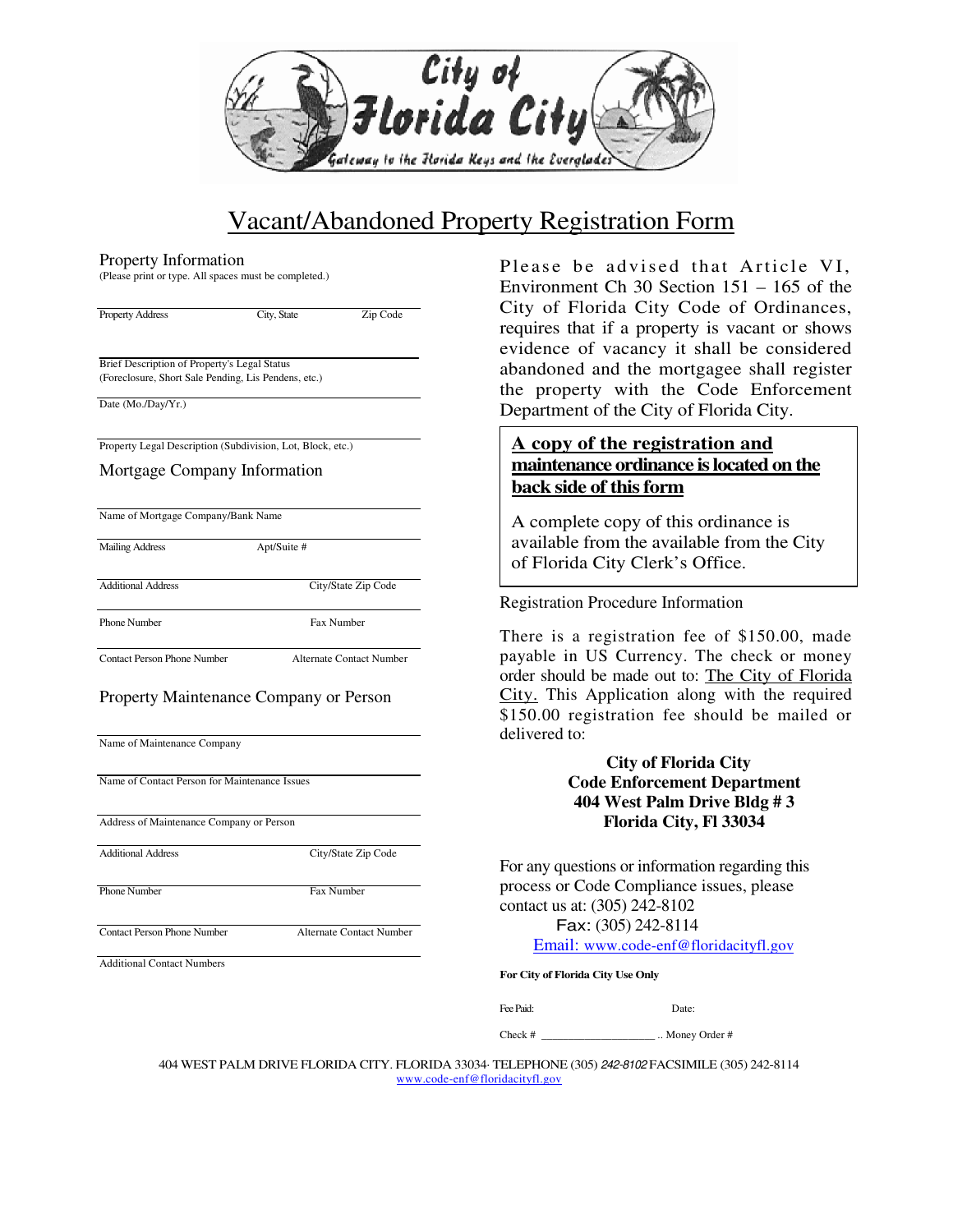

# Vacant/Abandoned Property Registration Form

#### Property Information

(Please print or type. All spaces must be completed.)

| <b>Property Address</b> |  |
|-------------------------|--|
|-------------------------|--|

City, State Zip Code

Brief Description of Property's Legal Status (Foreclosure, Short Sale Pending, Lis Pendens, etc.)

Date (Mo./Day/Yr.)

Property Legal Description (Subdivision, Lot, Block, etc.)

#### Mortgage Company Information

|  | Name of Mortgage Company/Bank Name |
|--|------------------------------------|

Mailing Address Apt/Suite #

Additional Address City/State Zip Code

Phone Number Fax Number

Contact Person Phone Number Alternate Contact Number

### Property Maintenance Company or Person

Name of Maintenance Company

Name of Contact Person for Maintenance Issues

Address of Maintenance Company or Person

Additional Address City/State Zip Code

Phone Number Fax Number

Contact Person Phone Number Alternate Contact Number

Additional Contact Numbers

Please be advised that Article VI, Environment Ch 30 Section 151 – 165 of the City of Florida City Code of Ordinances, requires that if a property is vacant or shows evidence of vacancy it shall be considered abandoned and the mortgagee shall register the property with the Code Enforcement Department of the City of Florida City.

### **A copy of the registration and maintenance ordinance is located on the back side of this form**

A complete copy of this ordinance is available from the available from the City of Florida City Clerk's Office.

Registration Procedure Information

There is a registration fee of \$150.00, made payable in US Currency. The check or money order should be made out to: The City of Florida City. This Application along with the required \$150.00 registration fee should be mailed or delivered to:

### **City of Florida City Code Enforcement Department 404 West Palm Drive Bldg # 3 Florida City, Fl 33034**

For any questions or information regarding this process or Code Compliance issues, please contact us at: (305) 242-8102

Fax: (305) 242-8114

Email: www.code-enf@floridacityfl.gov

**For City of Florida City Use Only** 

Fee Paid: Date:

Check # \_\_\_\_\_\_\_\_\_\_\_\_\_\_\_\_\_\_\_\_\_ .. Money Order #

404 WEST PALM DRIVE FLORIDA CITY. FLORIDA 33034· TELEPHONE (305) 242-8102 FACSIMILE (305) 242-8114 www.code-enf@floridacityfl.gov